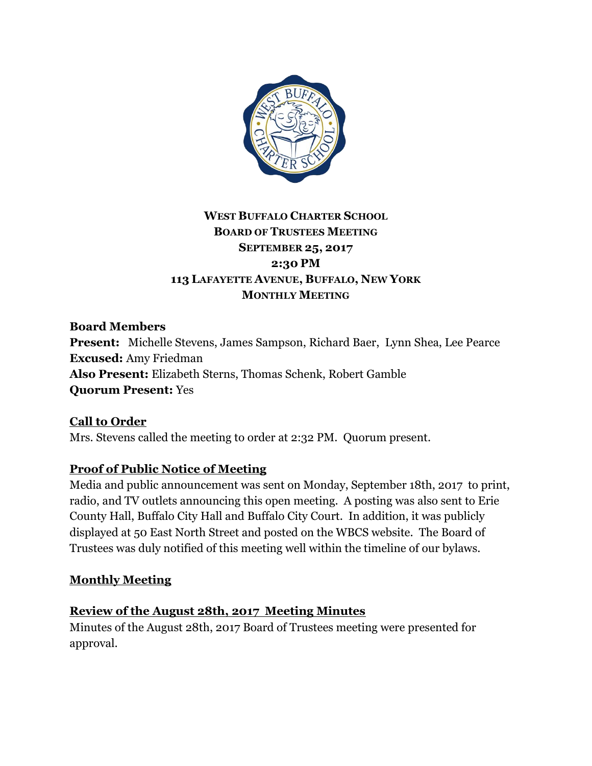

## **WEST BUFFALO CHARTER SCHOOL BOARD OF TRUSTEES MEETING SEPTEMBER 25, 2017 2:30 PM 113 LAFAYETTE AVENUE, BUFFALO, NEW YORK MONTHLY MEETING**

**Board Members Present:** Michelle Stevens, James Sampson, Richard Baer, Lynn Shea, Lee Pearce **Excused:** Amy Friedman **Also Present:** Elizabeth Sterns, Thomas Schenk, Robert Gamble **Quorum Present:** Yes

**Call to Order** Mrs. Stevens called the meeting to order at 2:32 PM. Quorum present.

## **Proof of Public Notice of Meeting**

Media and public announcement was sent on Monday, September 18th, 2017 to print, radio, and TV outlets announcing this open meeting. A posting was also sent to Erie County Hall, Buffalo City Hall and Buffalo City Court. In addition, it was publicly displayed at 50 East North Street and posted on the WBCS website. The Board of Trustees was duly notified of this meeting well within the timeline of our bylaws.

## **Monthly Meeting**

#### **Review of the August 28th, 2017 Meeting Minutes**

Minutes of the August 28th, 2017 Board of Trustees meeting were presented for approval.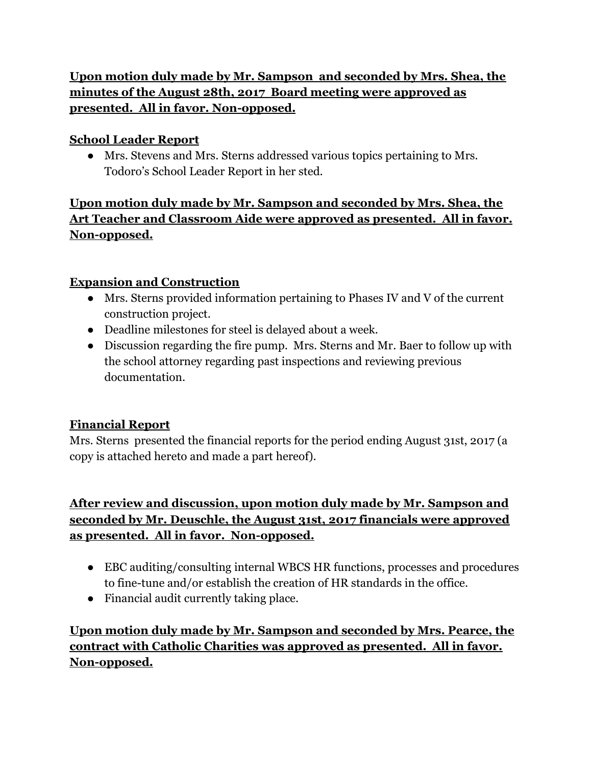## **Upon motion duly made by Mr. Sampson and seconded by Mrs. Shea, the minutes of the August 28th, 2017 Board meeting were approved as presented. All in favor. Non-opposed.**

## **School Leader Report**

● Mrs. Stevens and Mrs. Sterns addressed various topics pertaining to Mrs. Todoro's School Leader Report in her sted.

## **Upon motion duly made by Mr. Sampson and seconded by Mrs. Shea, the Art Teacher and Classroom Aide were approved as presented. All in favor. Non-opposed.**

### **Expansion and Construction**

- Mrs. Sterns provided information pertaining to Phases IV and V of the current construction project.
- Deadline milestones for steel is delayed about a week.
- Discussion regarding the fire pump. Mrs. Sterns and Mr. Baer to follow up with the school attorney regarding past inspections and reviewing previous documentation.

## **Financial Report**

Mrs. Sterns presented the financial reports for the period ending August 31st, 2017 (a copy is attached hereto and made a part hereof).

## **After review and discussion, upon motion duly made by Mr. Sampson and seconded by Mr. Deuschle, the August 31st, 2017 financials were approved as presented. All in favor. Non-opposed.**

- EBC auditing/consulting internal WBCS HR functions, processes and procedures to fine-tune and/or establish the creation of HR standards in the office.
- Financial audit currently taking place.

# **Upon motion duly made by Mr. Sampson and seconded by Mrs. Pearce, the contract with Catholic Charities was approved as presented. All in favor. Non-opposed.**